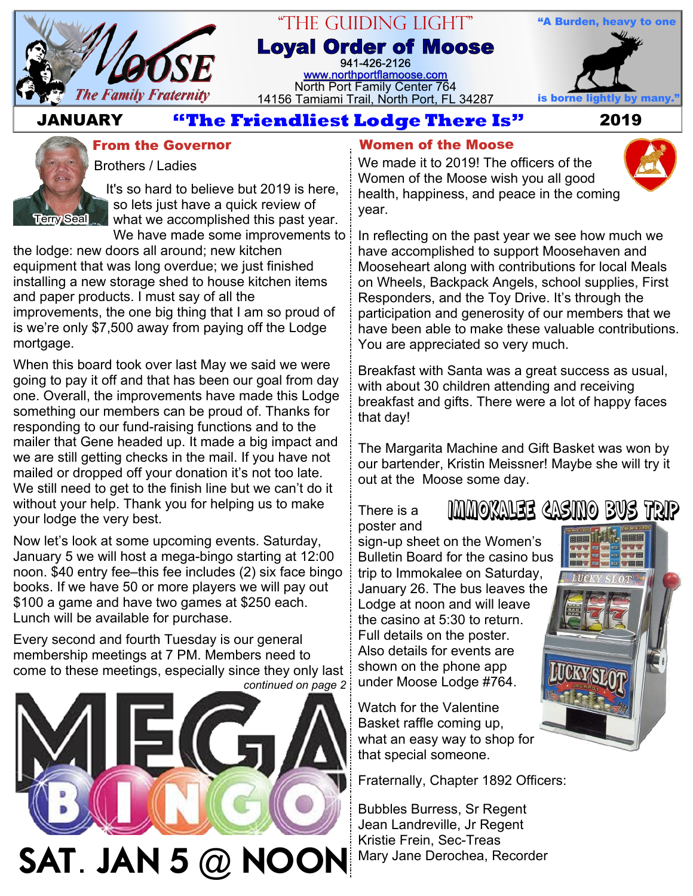

## "The Guiding Light" **Loyal Order of Moose** 941-426-2126

[www.northportflamoose.com](http://www.northportflamoose.com) North Port Family Center 764 14156 Tamiami Trail, North Port, FL 34287 is borne light



# **JANUARY 2019**



It's so hard to believe but 2019 is here, so lets just have a quick review of

what we accomplished this past year. We have made some improvements to:

the lodge: new doors all around; new kitchen equipment that was long overdue; we just finished installing a new storage shed to house kitchen items and paper products. I must say of all the improvements, the one big thing that I am so proud of is we're only \$7,500 away from paying off the Lodge mortgage.

When this board took over last May we said we were going to pay it off and that has been our goal from day one. Overall, the improvements have made this Lodge something our members can be proud of. Thanks for responding to our fund-raising functions and to the mailer that Gene headed up. It made a big impact and we are still getting checks in the mail. If you have not mailed or dropped off your donation it's not too late. We still need to get to the finish line but we can't do it without your help. Thank you for helping us to make your lodge the very best.

Now let's look at some upcoming events. Saturday, January 5 we will host a mega-bingo starting at 12:00 noon. \$40 entry fee–this fee includes (2) six face bingo books. If we have 50 or more players we will pay out \$100 a game and have two games at \$250 each. Lunch will be available for purchase.

Every second and fourth Tuesday is our general membership meetings at 7 PM. Members need to come to these meetings, especially since they only last *continued on page 2*



## **Women of the Moose**

We made it to 2019! The officers of the Women of the Moose wish you all good health, happiness, and peace in the coming year.

In reflecting on the past year we see how much we have accomplished to support Moosehaven and Mooseheart along with contributions for local Meals on Wheels, Backpack Angels, school supplies, First Responders, and the Toy Drive. It's through the participation and generosity of our members that we have been able to make these valuable contributions. You are appreciated so very much.

Breakfast with Santa was a great success as usual, with about 30 children attending and receiving breakfast and gifts. There were a lot of happy faces that day!

The Margarita Machine and Gift Basket was won by our bartender, Kristin Meissner! Maybe she will try it out at the Moose some day.

There is a poster and Immokalee Casino Bus Trip

sign-up sheet on the Women's Bulletin Board for the casino bus trip to Immokalee on Saturday, January 26. The bus leaves the Lodge at noon and will leave the casino at 5:30 to return. Full details on the poster. Also details for events are shown on the phone app under Moose Lodge #764.

Watch for the Valentine Basket raffle coming up, what an easy way to shop for that special someone.

Fraternally, Chapter 1892 Officers:

Bubbles Burress, Sr Regent Jean Landreville, Jr Regent Kristie Frein, Sec-Treas Mary Jane Derochea, Recorder

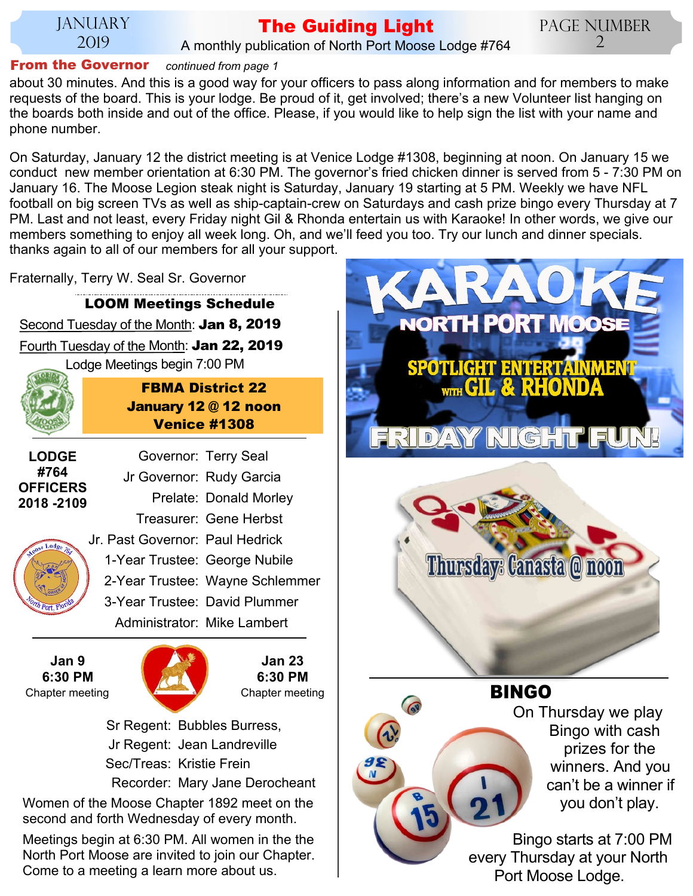#### JANUARY 2019

### **The Guiding Light** A monthly publication of North Port Moose Lodge #764

Page Number 2

## **From the Governor** *continued from page 1*

about 30 minutes. And this is a good way for your officers to pass along information and for members to make requests of the board. This is your lodge. Be proud of it, get involved; there's a new Volunteer list hanging on the boards both inside and out of the office. Please, if you would like to help sign the list with your name and phone number.

On Saturday, January 12 the district meeting is at Venice Lodge #1308, beginning at noon. On January 15 we conduct new member orientation at 6:30 PM. The governor's fried chicken dinner is served from 5 - 7:30 PM on January 16. The Moose Legion steak night is Saturday, January 19 starting at 5 PM. Weekly we have NFL football on big screen TVs as well as ship-captain-crew on Saturdays and cash prize bingo every Thursday at 7 PM. Last and not least, every Friday night Gil & Rhonda entertain us with Karaoke! In other words, we give our members something to enjoy all week long. Oh, and we'll feed you too. Try our lunch and dinner specials. thanks again to all of our members for all your support.

Fraternally, Terry W. Seal Sr. Governor

Second Tuesday of the Month: **Jan 8, 2019** Fourth Tuesday of the Month: **Jan 22, 2019** Lodge Meetings begin 7:00 PM **LOOM Meetings Schedule FBMA District 22 January 12 @ 12 noon Venice #1308** Governor: Terry Seal Jr Governor: Rudy Garcia Prelate: Donald Morley Treasurer: Gene Herbst Jr. Past Governor: Paul Hedrick 1-Year Trustee: George Nubile 2-Year Trustee: Wayne Schlemmer 3-Year Trustee: David Plummer Administrator: Mike Lambert **LODGE #764 OFFICERS 2018 -2109 Jan 9 6:30 PM Jan 23**



**6:30 PM**

 Sr Regent: Bubbles Burress, Jr Regent: Jean Landreville Sec/Treas: Kristie Frein Recorder: Mary Jane Derocheant

Women of the Moose Chapter 1892 meet on the second and forth Wednesday of every month.

Meetings begin at 6:30 PM. All women in the the North Port Moose are invited to join our Chapter. Come to a meeting a learn more about us.





## **BINGO**

On Thursday we play Bingo with cash prizes for the winners. And you can't be a winner if you don't play.

Bingo starts at 7:00 PM every Thursday at your North Port Moose Lodge.